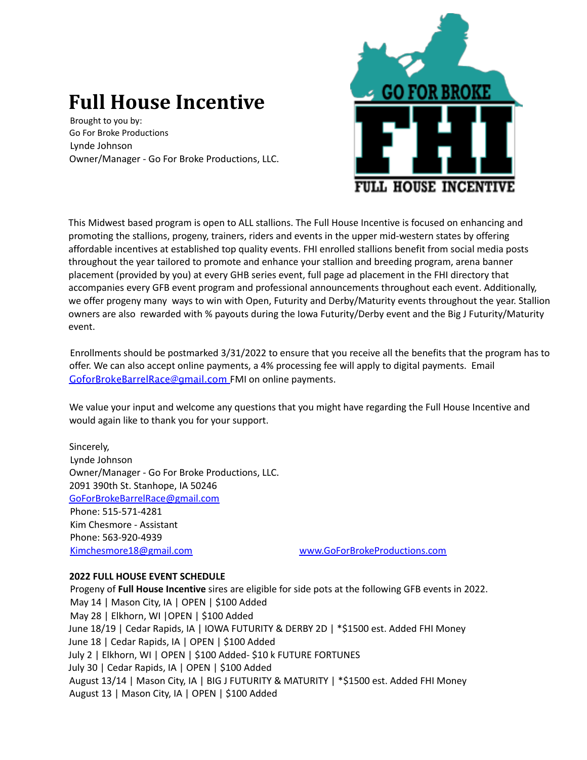## **Full House Incentive**

Brought to you by: Go For Broke Productions Lynde Johnson Owner/Manager - Go For Broke Productions, LLC.



This Midwest based program is open to ALL stallions. The Full House Incentive is focused on enhancing and promoting the stallions, progeny, trainers, riders and events in the upper mid-western states by offering affordable incentives at established top quality events. FHI enrolled stallions benefit from social media posts throughout the year tailored to promote and enhance your stallion and breeding program, arena banner placement (provided by you) at every GHB series event, full page ad placement in the FHI directory that accompanies every GFB event program and professional announcements throughout each event. Additionally, we offer progeny many ways to win with Open, Futurity and Derby/Maturity events throughout the year. Stallion owners are also rewarded with % payouts during the Iowa Futurity/Derby event and the Big J Futurity/Maturity event.

Enrollments should be postmarked 3/31/2022 to ensure that you receive all the benefits that the program has to offer. We can also accept online payments, a 4% processing fee will apply to digital payments. Email GoforBrokeBarrelRace@gmail.com FMI on online payments.

We value your input and welcome any questions that you might have regarding the Full House Incentive and would again like to thank you for your support.

Sincerely, Lynde Johnson Owner/Manager - Go For Broke Productions, LLC. 2091 390th St. Stanhope, IA 50246 GoForBrokeBarrelRace@gmail.com Phone: 515-571-4281 Kim Chesmore - Assistant Phone: 563-920-4939 Kimchesmore18@gmail.com www.GoForBrokeProductions.com

## **2022 FULL HOUSE EVENT SCHEDULE**

Progeny of **Full House Incentive** sires are eligible for side pots at the following GFB events in 2022. May 14 | Mason City, IA | OPEN | \$100 Added May 28 | Elkhorn, WI |OPEN | \$100 Added June 18/19 | Cedar Rapids, IA | IOWA FUTURITY & DERBY 2D | \*\$1500 est. Added FHI Money June 18 | Cedar Rapids, IA | OPEN | \$100 Added July 2 | Elkhorn, WI | OPEN | \$100 Added- \$10 k FUTURE FORTUNES July 30 | Cedar Rapids, IA | OPEN | \$100 Added August 13/14 | Mason City, IA | BIG J FUTURITY & MATURITY | \*\$1500 est. Added FHI Money August 13 | Mason City, IA | OPEN | \$100 Added